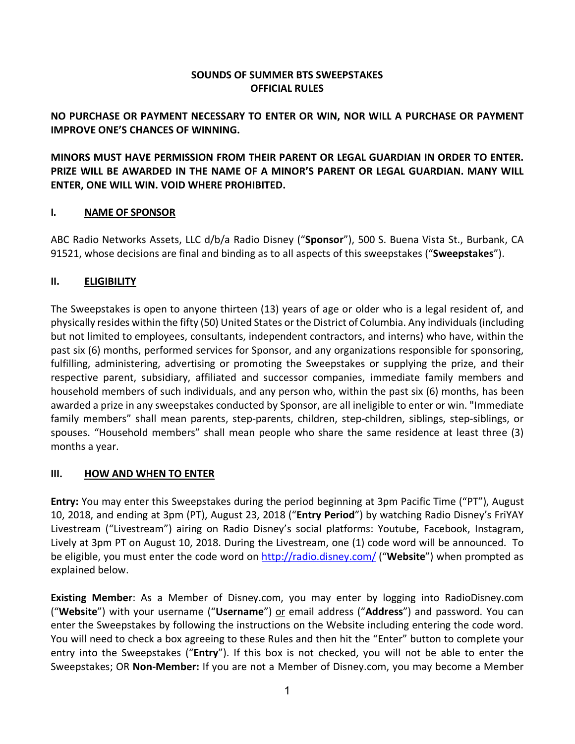## **SOUNDS OF SUMMER BTS SWEEPSTAKES OFFICIAL RULES**

## **NO PURCHASE OR PAYMENT NECESSARY TO ENTER OR WIN, NOR WILL A PURCHASE OR PAYMENT IMPROVE ONE'S CHANCES OF WINNING.**

**MINORS MUST HAVE PERMISSION FROM THEIR PARENT OR LEGAL GUARDIAN IN ORDER TO ENTER. PRIZE WILL BE AWARDED IN THE NAME OF A MINOR'S PARENT OR LEGAL GUARDIAN. MANY WILL ENTER, ONE WILL WIN. VOID WHERE PROHIBITED.**

## **I. NAME OF SPONSOR**

ABC Radio Networks Assets, LLC d/b/a Radio Disney ("**Sponsor**"), 500 S. Buena Vista St., Burbank, CA 91521, whose decisions are final and binding as to all aspects of this sweepstakes ("**Sweepstakes**").

## **II. ELIGIBILITY**

The Sweepstakes is open to anyone thirteen (13) years of age or older who is a legal resident of, and physically resides within the fifty (50) United States orthe District of Columbia. Any individuals (including but not limited to employees, consultants, independent contractors, and interns) who have, within the past six (6) months, performed services for Sponsor, and any organizations responsible for sponsoring, fulfilling, administering, advertising or promoting the Sweepstakes or supplying the prize, and their respective parent, subsidiary, affiliated and successor companies, immediate family members and household members of such individuals, and any person who, within the past six (6) months, has been awarded a prize in any sweepstakes conducted by Sponsor, are all ineligible to enter or win. "Immediate family members" shall mean parents, step-parents, children, step-children, siblings, step-siblings, or spouses. "Household members" shall mean people who share the same residence at least three (3) months a year.

#### **III. HOW AND WHEN TO ENTER**

**Entry:** You may enter this Sweepstakes during the period beginning at 3pm Pacific Time ("PT"), August 10, 2018, and ending at 3pm (PT), August 23, 2018 ("**Entry Period**") by watching Radio Disney's FriYAY Livestream ("Livestream") airing on Radio Disney's social platforms: Youtube, Facebook, Instagram, Lively at 3pm PT on August 10, 2018. During the Livestream, one (1) code word will be announced. To be eligible, you must enter the code word on http://radio.disney.com/ ("**Website**") when prompted as explained below.

**Existing Member**: As a Member of Disney.com, you may enter by logging into RadioDisney.com ("**Website**") with your username ("**Username**") or email address ("**Address**") and password. You can enter the Sweepstakes by following the instructions on the Website including entering the code word. You will need to check a box agreeing to these Rules and then hit the "Enter" button to complete your entry into the Sweepstakes ("**Entry**"). If this box is not checked, you will not be able to enter the Sweepstakes; OR **Non-Member:** If you are not a Member of Disney.com, you may become a Member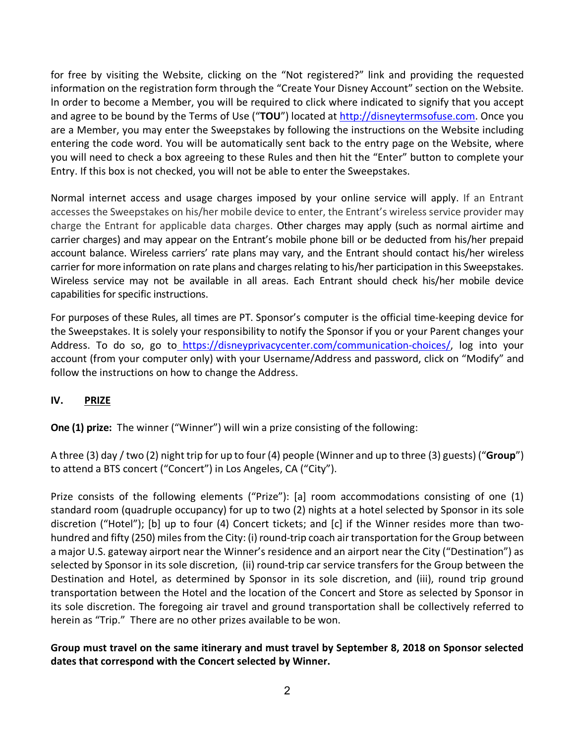for free by visiting the Website, clicking on the "Not registered?" link and providing the requested information on the registration form through the "Create Your Disney Account" section on the Website. In order to become a Member, you will be required to click where indicated to signify that you accept and agree to be bound by the Terms of Use ("**TOU**") located at http://disneytermsofuse.com. Once you are a Member, you may enter the Sweepstakes by following the instructions on the Website including entering the code word. You will be automatically sent back to the entry page on the Website, where you will need to check a box agreeing to these Rules and then hit the "Enter" button to complete your Entry. If this box is not checked, you will not be able to enter the Sweepstakes.

Normal internet access and usage charges imposed by your online service will apply. If an Entrant accesses the Sweepstakes on his/her mobile device to enter, the Entrant's wireless service provider may charge the Entrant for applicable data charges. Other charges may apply (such as normal airtime and carrier charges) and may appear on the Entrant's mobile phone bill or be deducted from his/her prepaid account balance. Wireless carriers' rate plans may vary, and the Entrant should contact his/her wireless carrier for more information on rate plans and charges relating to his/her participation in this Sweepstakes. Wireless service may not be available in all areas. Each Entrant should check his/her mobile device capabilities for specific instructions.

For purposes of these Rules, all times are PT. Sponsor's computer is the official time-keeping device for the Sweepstakes. It is solely your responsibility to notify the Sponsor if you or your Parent changes your Address. To do so, go to https://disneyprivacycenter.com/communication-choices/, log into your account (from your computer only) with your Username/Address and password, click on "Modify" and follow the instructions on how to change the Address.

## **IV. PRIZE**

**One (1) prize:** The winner ("Winner") will win a prize consisting of the following:

A three (3) day / two (2) night trip for up to four (4) people (Winner and up to three (3) guests) ("**Group**") to attend a BTS concert ("Concert") in Los Angeles, CA ("City").

Prize consists of the following elements ("Prize"): [a] room accommodations consisting of one (1) standard room (quadruple occupancy) for up to two (2) nights at a hotel selected by Sponsor in its sole discretion ("Hotel"); [b] up to four (4) Concert tickets; and [c] if the Winner resides more than twohundred and fifty (250) miles from the City: (i) round-trip coach air transportation for the Group between a major U.S. gateway airport near the Winner's residence and an airport near the City ("Destination") as selected by Sponsor in its sole discretion, (ii) round-trip car service transfers for the Group between the Destination and Hotel, as determined by Sponsor in its sole discretion, and (iii), round trip ground transportation between the Hotel and the location of the Concert and Store as selected by Sponsor in its sole discretion. The foregoing air travel and ground transportation shall be collectively referred to herein as "Trip." There are no other prizes available to be won.

# **Group must travel on the same itinerary and must travel by September 8, 2018 on Sponsor selected dates that correspond with the Concert selected by Winner.**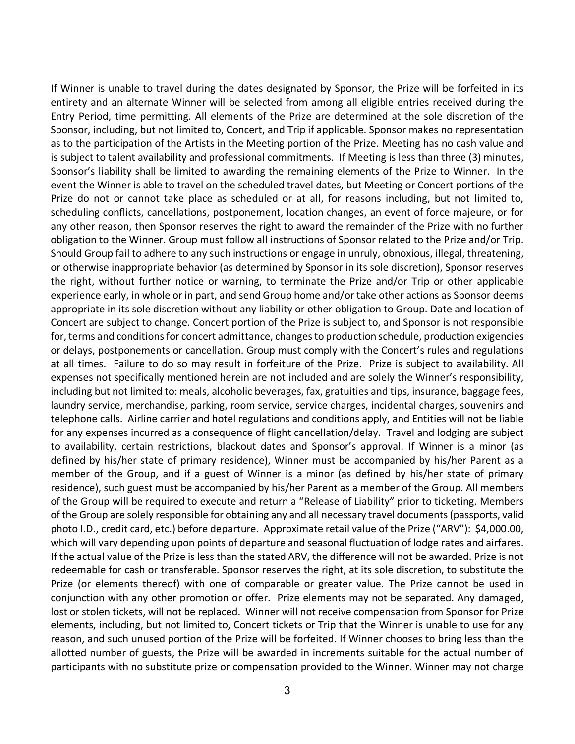If Winner is unable to travel during the dates designated by Sponsor, the Prize will be forfeited in its entirety and an alternate Winner will be selected from among all eligible entries received during the Entry Period, time permitting. All elements of the Prize are determined at the sole discretion of the Sponsor, including, but not limited to, Concert, and Trip if applicable. Sponsor makes no representation as to the participation of the Artists in the Meeting portion of the Prize. Meeting has no cash value and is subject to talent availability and professional commitments. If Meeting is less than three (3) minutes, Sponsor's liability shall be limited to awarding the remaining elements of the Prize to Winner. In the event the Winner is able to travel on the scheduled travel dates, but Meeting or Concert portions of the Prize do not or cannot take place as scheduled or at all, for reasons including, but not limited to, scheduling conflicts, cancellations, postponement, location changes, an event of force majeure, or for any other reason, then Sponsor reserves the right to award the remainder of the Prize with no further obligation to the Winner. Group must follow all instructions of Sponsor related to the Prize and/or Trip. Should Group fail to adhere to any such instructions or engage in unruly, obnoxious, illegal, threatening, or otherwise inappropriate behavior (as determined by Sponsor in its sole discretion), Sponsor reserves the right, without further notice or warning, to terminate the Prize and/or Trip or other applicable experience early, in whole or in part, and send Group home and/or take other actions as Sponsor deems appropriate in its sole discretion without any liability or other obligation to Group. Date and location of Concert are subject to change. Concert portion of the Prize is subject to, and Sponsor is not responsible for, terms and conditions for concert admittance, changes to production schedule, production exigencies or delays, postponements or cancellation. Group must comply with the Concert's rules and regulations at all times. Failure to do so may result in forfeiture of the Prize. Prize is subject to availability. All expenses not specifically mentioned herein are not included and are solely the Winner's responsibility, including but not limited to: meals, alcoholic beverages, fax, gratuities and tips, insurance, baggage fees, laundry service, merchandise, parking, room service, service charges, incidental charges, souvenirs and telephone calls. Airline carrier and hotel regulations and conditions apply, and Entities will not be liable for any expenses incurred as a consequence of flight cancellation/delay. Travel and lodging are subject to availability, certain restrictions, blackout dates and Sponsor's approval. If Winner is a minor (as defined by his/her state of primary residence), Winner must be accompanied by his/her Parent as a member of the Group, and if a guest of Winner is a minor (as defined by his/her state of primary residence), such guest must be accompanied by his/her Parent as a member of the Group. All members of the Group will be required to execute and return a "Release of Liability" prior to ticketing. Members of the Group are solely responsible for obtaining any and all necessary travel documents (passports, valid photo I.D., credit card, etc.) before departure. Approximate retail value of the Prize ("ARV"): \$4,000.00, which will vary depending upon points of departure and seasonal fluctuation of lodge rates and airfares. If the actual value of the Prize is less than the stated ARV, the difference will not be awarded. Prize is not redeemable for cash or transferable. Sponsor reserves the right, at its sole discretion, to substitute the Prize (or elements thereof) with one of comparable or greater value. The Prize cannot be used in conjunction with any other promotion or offer. Prize elements may not be separated. Any damaged, lost or stolen tickets, will not be replaced. Winner will not receive compensation from Sponsor for Prize elements, including, but not limited to, Concert tickets or Trip that the Winner is unable to use for any reason, and such unused portion of the Prize will be forfeited. If Winner chooses to bring less than the allotted number of guests, the Prize will be awarded in increments suitable for the actual number of participants with no substitute prize or compensation provided to the Winner. Winner may not charge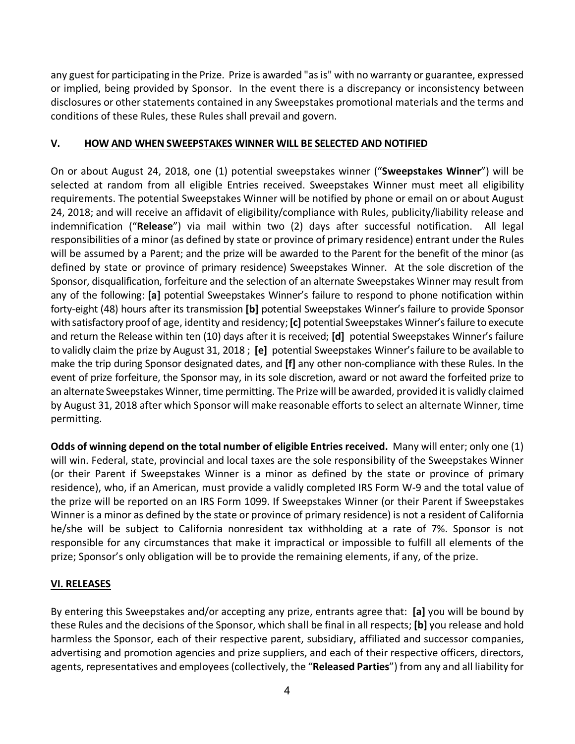any guest for participating in the Prize. Prize is awarded "as is" with no warranty or guarantee, expressed or implied, being provided by Sponsor. In the event there is a discrepancy or inconsistency between disclosures or other statements contained in any Sweepstakes promotional materials and the terms and conditions of these Rules, these Rules shall prevail and govern.

### **V. HOW AND WHEN SWEEPSTAKES WINNER WILL BE SELECTED AND NOTIFIED**

On or about August 24, 2018, one (1) potential sweepstakes winner ("**Sweepstakes Winner**") will be selected at random from all eligible Entries received. Sweepstakes Winner must meet all eligibility requirements. The potential Sweepstakes Winner will be notified by phone or email on or about August 24, 2018; and will receive an affidavit of eligibility/compliance with Rules, publicity/liability release and indemnification ("**Release**") via mail within two (2) days after successful notification. All legal responsibilities of a minor (as defined by state or province of primary residence) entrant under the Rules will be assumed by a Parent; and the prize will be awarded to the Parent for the benefit of the minor (as defined by state or province of primary residence) Sweepstakes Winner. At the sole discretion of the Sponsor, disqualification, forfeiture and the selection of an alternate Sweepstakes Winner may result from any of the following: **[a]** potential Sweepstakes Winner's failure to respond to phone notification within forty-eight (48) hours after its transmission **[b]** potential Sweepstakes Winner's failure to provide Sponsor with satisfactory proof of age, identity and residency; **[c]** potential Sweepstakes Winner's failure to execute and return the Release within ten (10) days after it is received; **[d]** potential Sweepstakes Winner's failure to validly claim the prize by August 31, 2018 ; **[e]** potential Sweepstakes Winner's failure to be available to make the trip during Sponsor designated dates, and **[f]** any other non-compliance with these Rules. In the event of prize forfeiture, the Sponsor may, in its sole discretion, award or not award the forfeited prize to an alternate Sweepstakes Winner, time permitting. The Prize will be awarded, provided it is validly claimed by August 31, 2018 after which Sponsor will make reasonable efforts to select an alternate Winner, time permitting.

**Odds of winning depend on the total number of eligible Entries received.** Many will enter; only one (1) will win. Federal, state, provincial and local taxes are the sole responsibility of the Sweepstakes Winner (or their Parent if Sweepstakes Winner is a minor as defined by the state or province of primary residence), who, if an American, must provide a validly completed IRS Form W-9 and the total value of the prize will be reported on an IRS Form 1099. If Sweepstakes Winner (or their Parent if Sweepstakes Winner is a minor as defined by the state or province of primary residence) is not a resident of California he/she will be subject to California nonresident tax withholding at a rate of 7%. Sponsor is not responsible for any circumstances that make it impractical or impossible to fulfill all elements of the prize; Sponsor's only obligation will be to provide the remaining elements, if any, of the prize.

## **VI. RELEASES**

By entering this Sweepstakes and/or accepting any prize, entrants agree that: **[a]** you will be bound by these Rules and the decisions of the Sponsor, which shall be final in all respects; **[b]** you release and hold harmless the Sponsor, each of their respective parent, subsidiary, affiliated and successor companies, advertising and promotion agencies and prize suppliers, and each of their respective officers, directors, agents, representatives and employees (collectively, the "**Released Parties**") from any and all liability for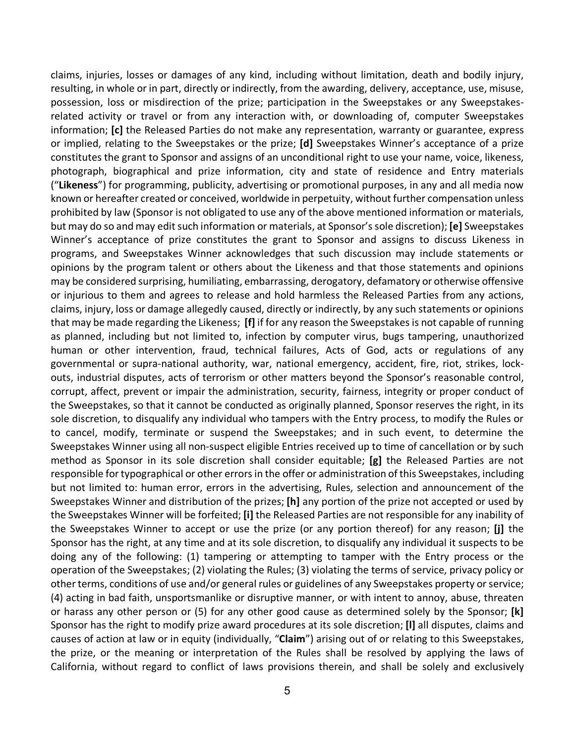claims, injuries, losses or damages of any kind, including without limitation, death and bodily injury, resulting, in whole or in part, directly or indirectly, from the awarding, delivery, acceptance, use, misuse, possession, loss or misdirection of the prize; participation in the Sweepstakes or any Sweepstakesrelated activity or travel or from any interaction with, or downloading of, computer Sweepstakes information; **[c]** the Released Parties do not make any representation, warranty or guarantee, express or implied, relating to the Sweepstakes or the prize; **[d]** Sweepstakes Winner's acceptance of a prize constitutes the grant to Sponsor and assigns of an unconditional right to use your name, voice, likeness, photograph, biographical and prize information, city and state of residence and Entry materials ("**Likeness**") for programming, publicity, advertising or promotional purposes, in any and all media now known or hereafter created or conceived, worldwide in perpetuity, without further compensation unless prohibited by law (Sponsor is not obligated to use any of the above mentioned information or materials, but may do so and may edit such information or materials, at Sponsor's sole discretion); **[e]** Sweepstakes Winner's acceptance of prize constitutes the grant to Sponsor and assigns to discuss Likeness in programs, and Sweepstakes Winner acknowledges that such discussion may include statements or opinions by the program talent or others about the Likeness and that those statements and opinions may be considered surprising, humiliating, embarrassing, derogatory, defamatory or otherwise offensive or injurious to them and agrees to release and hold harmless the Released Parties from any actions, claims, injury, loss or damage allegedly caused, directly or indirectly, by any such statements or opinions that may be made regarding the Likeness; **[f]** if for any reason the Sweepstakes is not capable of running as planned, including but not limited to, infection by computer virus, bugs tampering, unauthorized human or other intervention, fraud, technical failures, Acts of God, acts or regulations of any governmental or supra-national authority, war, national emergency, accident, fire, riot, strikes, lockouts, industrial disputes, acts of terrorism or other matters beyond the Sponsor's reasonable control, corrupt, affect, prevent or impair the administration, security, fairness, integrity or proper conduct of the Sweepstakes, so that it cannot be conducted as originally planned, Sponsor reserves the right, in its sole discretion, to disqualify any individual who tampers with the Entry process, to modify the Rules or to cancel, modify, terminate or suspend the Sweepstakes; and in such event, to determine the Sweepstakes Winner using all non-suspect eligible Entries received up to time of cancellation or by such method as Sponsor in its sole discretion shall consider equitable; **[g]** the Released Parties are not responsible for typographical or other errors in the offer or administration of this Sweepstakes, including but not limited to: human error, errors in the advertising, Rules, selection and announcement of the Sweepstakes Winner and distribution of the prizes; **[h]** any portion of the prize not accepted or used by the Sweepstakes Winner will be forfeited; **[i]** the Released Parties are not responsible for any inability of the Sweepstakes Winner to accept or use the prize (or any portion thereof) for any reason; **[j]** the Sponsor has the right, at any time and at its sole discretion, to disqualify any individual it suspects to be doing any of the following: (1) tampering or attempting to tamper with the Entry process or the operation of the Sweepstakes; (2) violating the Rules; (3) violating the terms of service, privacy policy or other terms, conditions of use and/or general rules or guidelines of any Sweepstakes property or service; (4) acting in bad faith, unsportsmanlike or disruptive manner, or with intent to annoy, abuse, threaten or harass any other person or (5) for any other good cause as determined solely by the Sponsor; **[k]** Sponsor has the right to modify prize award procedures at its sole discretion; **[l]** all disputes, claims and causes of action at law or in equity (individually, "**Claim**") arising out of or relating to this Sweepstakes, the prize, or the meaning or interpretation of the Rules shall be resolved by applying the laws of California, without regard to conflict of laws provisions therein, and shall be solely and exclusively